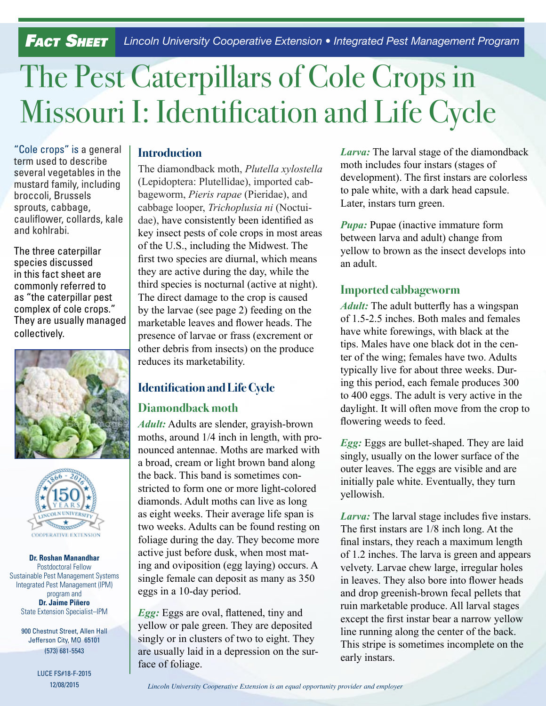*Fact Sheet Lincoln University Cooperative Extension • Integrated Pest Management Program*

# The Pest Caterpillars of Cole Crops in Missouri I: Identification and Life Cycle

"Cole crops" is a general term used to describe several vegetables in the mustard family, including broccoli, Brussels sprouts, cabbage, cauliflower, collards, kale and kohlrabi.

The three caterpillar species discussed in this fact sheet are commonly referred to as "the caterpillar pest complex of cole crops." They are usually managed collectively.





#### **Dr. Roshan Manandhar**  Postdoctoral Fellow Sustainable Pest Management Systems Integrated Pest Management (IPM) program and **Dr. Jaime Piñero** State Extension Specialist–IPM

900 Chestnut Street, Allen Hall Jefferson City, MO 65101 (573) 681-5543

> LUCE FS#18-F-2015 12/08/2015

# **Introduction**

The diamondback moth, *Plutella xylostella* (Lepidoptera: Plutellidae), imported cabbageworm, *Pieris rapae* (Pieridae), and cabbage looper, *Trichoplusia ni* (Noctuidae), have consistently been identified as key insect pests of cole crops in most areas of the U.S., including the Midwest. The first two species are diurnal, which means they are active during the day, while the third species is nocturnal (active at night). The direct damage to the crop is caused by the larvae (see page 2) feeding on the marketable leaves and flower heads. The presence of larvae or frass (excrement or other debris from insects) on the produce reduces its marketability.

# **Identification and Life Cycle**

## **Diamondback moth**

*Adult:* Adults are slender, grayish-brown moths, around 1/4 inch in length, with pronounced antennae. Moths are marked with a broad, cream or light brown band along the back. This band is sometimes constricted to form one or more light-colored diamonds. Adult moths can live as long as eight weeks. Their average life span is two weeks. Adults can be found resting on foliage during the day. They become more active just before dusk, when most mating and oviposition (egg laying) occurs. A single female can deposit as many as 350 eggs in a 10-day period.

*Egg:* Eggs are oval, flattened, tiny and yellow or pale green. They are deposited singly or in clusters of two to eight. They are usually laid in a depression on the surface of foliage.

*Larva:* The larval stage of the diamondback moth includes four instars (stages of development). The first instars are colorless to pale white, with a dark head capsule. Later, instars turn green.

*Pupa:* Pupae (inactive immature form between larva and adult) change from yellow to brown as the insect develops into an adult.

#### **Imported cabbageworm**

*Adult:* The adult butterfly has a wingspan of 1.5-2.5 inches. Both males and females have white forewings, with black at the tips. Males have one black dot in the center of the wing; females have two. Adults typically live for about three weeks. During this period, each female produces 300 to 400 eggs. The adult is very active in the daylight. It will often move from the crop to flowering weeds to feed.

*Egg:* Eggs are bullet-shaped. They are laid singly, usually on the lower surface of the outer leaves. The eggs are visible and are initially pale white. Eventually, they turn yellowish.

*Larva:* The larval stage includes five instars. The first instars are 1/8 inch long. At the final instars, they reach a maximum length of 1.2 inches. The larva is green and appears velvety. Larvae chew large, irregular holes in leaves. They also bore into flower heads and drop greenish-brown fecal pellets that ruin marketable produce. All larval stages except the first instar bear a narrow yellow line running along the center of the back. This stripe is sometimes incomplete on the early instars.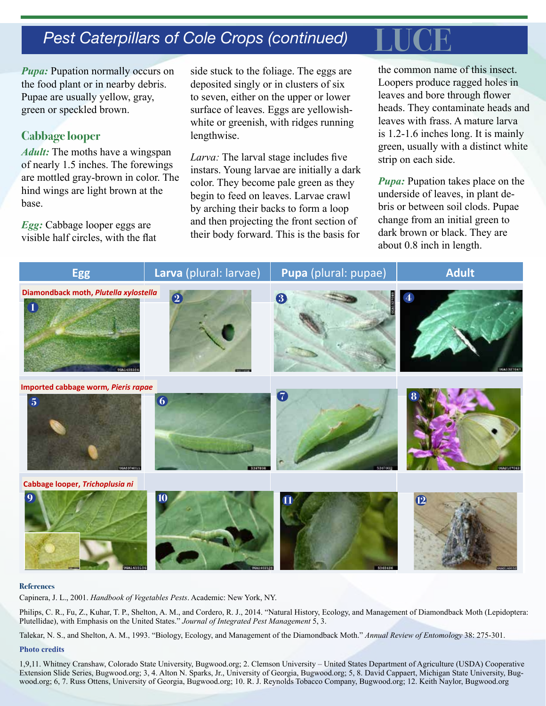# **Pest Caterpillars of Cole Crops (continued)**

*Pupa:* Pupation normally occurs on the food plant or in nearby debris. Pupae are usually yellow, gray, green or speckled brown.

#### **Cabbage looper**

*Adult:* The moths have a wingspan of nearly 1.5 inches. The forewings are mottled gray-brown in color. The hind wings are light brown at the base.

*Egg:* Cabbage looper eggs are visible half circles, with the flat side stuck to the foliage. The eggs are deposited singly or in clusters of six to seven, either on the upper or lower surface of leaves. Eggs are yellowishwhite or greenish, with ridges running lengthwise.

*Larva:* The larval stage includes five instars. Young larvae are initially a dark color. They become pale green as they begin to feed on leaves. Larvae crawl by arching their backs to form a loop and then projecting the front section of their body forward. This is the basis for

the common name of this insect. Loopers produce ragged holes in leaves and bore through flower heads. They contaminate heads and leaves with frass. A mature larva is 1.2-1.6 inches long. It is mainly green, usually with a distinct white strip on each side.

*Pupa:* Pupation takes place on the underside of leaves, in plant debris or between soil clods. Pupae change from an initial green to dark brown or black. They are about 0.8 inch in length.



#### **References**

Capinera, J. L., 2001. *Handbook of Vegetables Pests*. Academic: New York, NY.

Philips, C. R., Fu, Z., Kuhar, T. P., Shelton, A. M., and Cordero, R. J., 2014. "Natural History, Ecology, and Management of Diamondback Moth (Lepidoptera: Plutellidae), with Emphasis on the United States." *Journal of Integrated Pest Management* 5, 3.

Talekar, N. S., and Shelton, A. M., 1993. "Biology, Ecology, and Management of the Diamondback Moth." *Annual Review of Entomology* 38: 275-301.

#### **Photo credits**

1,9,11. Whitney Cranshaw, Colorado State University, Bugwood.org; 2. Clemson University – United States Department of Agriculture (USDA) Cooperative Extension Slide Series, Bugwood.org; 3, 4. Alton N. Sparks, Jr., University of Georgia, Bugwood.org; 5, 8. David Cappaert, Michigan State University, Bugwood.org; 6, 7. Russ Ottens, University of Georgia, Bugwood.org; 10. R. J. Reynolds Tobacco Company, Bugwood.org; 12. Keith Naylor, Bugwood.org